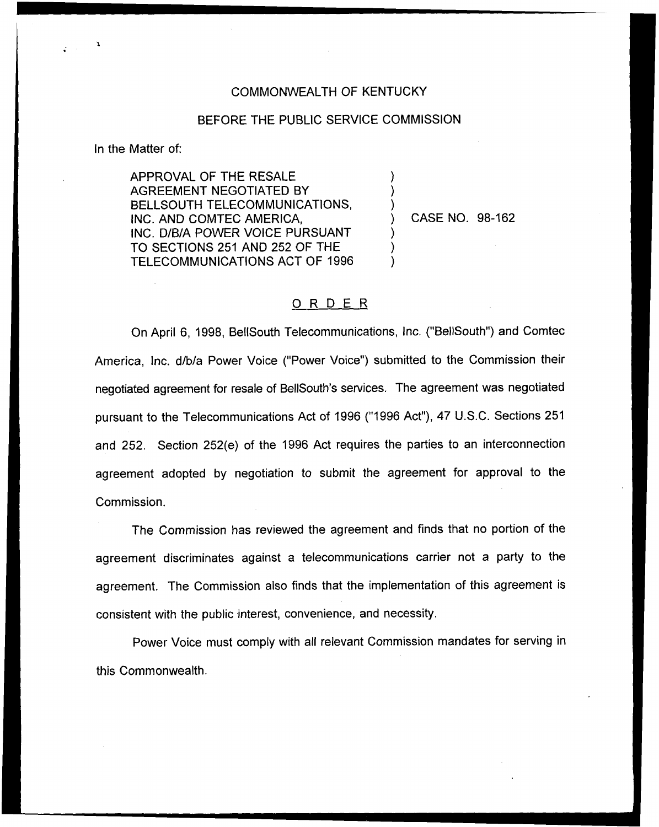## COMMONWEALTH OF KENTUCKY

## BEFORE THE PUBLIC SERVICE COMMISSION

) ) )

) ) )

In the Matter of:

APPROVAL OF THE RESALE AGREEMENT NEGOTIATED BY BELLSOUTH TELECOMMUNICATIONS, INC. AND COMTEC AMERICA, INC. D/B/A POWER VOICE PURSUANT TO SECTIONS 251 AND 252 OF THE TELECOMMUNICATIONS ACT OF 1996

) CASE NO. 98-162

## 0 <sup>R</sup> <sup>D</sup> <sup>E</sup> <sup>R</sup>

On April 6, 1998, BellSouth Telecommunications, Inc. ("BellSouth") and Corntec America, Inc. d/b/a Power Voice ("Power Voice") submitted to the Commission thei negotiated agreement for resale of BellSouth's services. The agreement was negotiated pursuant to the Telecommunications Act of 1996 ("1996Act"), 47 U.S.C. Sections 251 and 252. Section 252(e) of the 1996 Act requires the parties to an interconnection agreement adopted by negotiation to submit the agreement for approval to the Commission.

The Commission has reviewed the agreement and finds that no portion of the agreement discriminates against a telecommunications carrier not a party to the agreement. The Commission also finds that the implementation of this agreement is consistent with the public interest, convenience, and necessity.

Power Voice must comply with all relevant Commission mandates for serving in this Commonwealth.